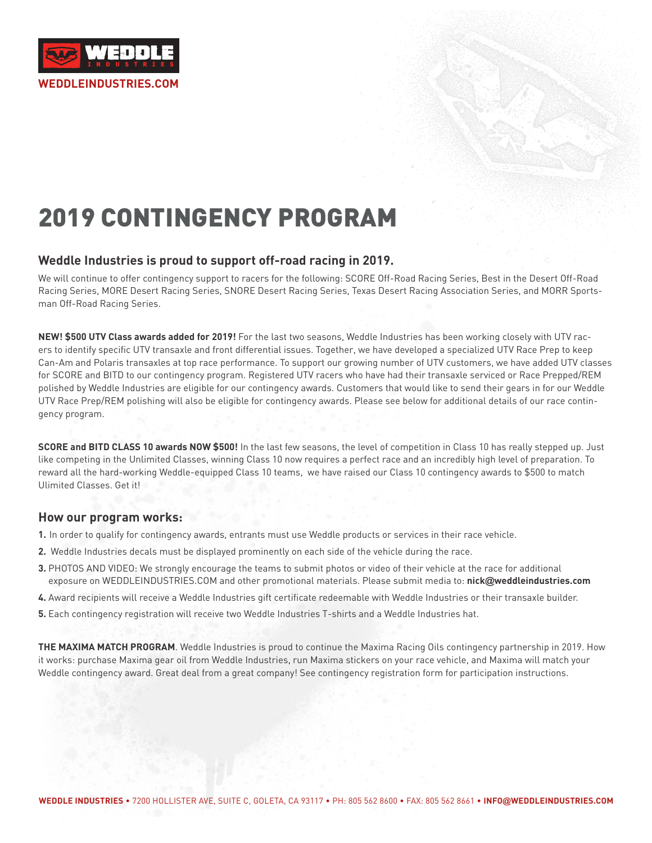

# 2019 CONTINGENCY PROGRAM

### **Weddle Industries is proud to support off-road racing in 2019.**

We will continue to offer contingency support to racers for the following: SCORE Off-Road Racing Series, Best in the Desert Off-Road Racing Series, MORE Desert Racing Series, SNORE Desert Racing Series, Texas Desert Racing Association Series, and MORR Sportsman Off-Road Racing Series.

**NEW! \$500 UTV Class awards added for 2019!** For the last two seasons, Weddle Industries has been working closely with UTV racers to identify specific UTV transaxle and front differential issues. Together, we have developed a specialized UTV Race Prep to keep Can-Am and Polaris transaxles at top race performance. To support our growing number of UTV customers, we have added UTV classes for SCORE and BITD to our contingency program. Registered UTV racers who have had their transaxle serviced or Race Prepped/REM polished by Weddle Industries are eligible for our contingency awards. Customers that would like to send their gears in for our Weddle UTV Race Prep/REM polishing will also be eligible for contingency awards. Please see below for additional details of our race contingency program.

**SCORE and BITD CLASS 10 awards NOW \$500!** In the last few seasons, the level of competition in Class 10 has really stepped up. Just like competing in the Unlimited Classes, winning Class 10 now requires a perfect race and an incredibly high level of preparation. To reward all the hard-working Weddle-equipped Class 10 teams, we have raised our Class 10 contingency awards to \$500 to match Ulimited Classes. Get it!

### **How our program works:**

- **1.** In order to qualify for contingency awards, entrants must use Weddle products or services in their race vehicle.
- **2.** Weddle Industries decals must be displayed prominently on each side of the vehicle during the race.
- **3.** PHOTOS AND VIDEO: We strongly encourage the teams to submit photos or video of their vehicle at the race for additional exposure on WEDDLEINDUSTRIES.COM and other promotional materials. Please submit media to: **nick@weddleindustries.com**
- **4.** Award recipients will receive a Weddle Industries gift certificate redeemable with Weddle Industries or their transaxle builder.
- **5.** Each contingency registration will receive two Weddle Industries T-shirts and a Weddle Industries hat.

**THE MAXIMA MATCH PROGRAM**. Weddle Industries is proud to continue the Maxima Racing Oils contingency partnership in 2019. How it works: purchase Maxima gear oil from Weddle Industries, run Maxima stickers on your race vehicle, and Maxima will match your Weddle contingency award. Great deal from a great company! See contingency registration form for participation instructions.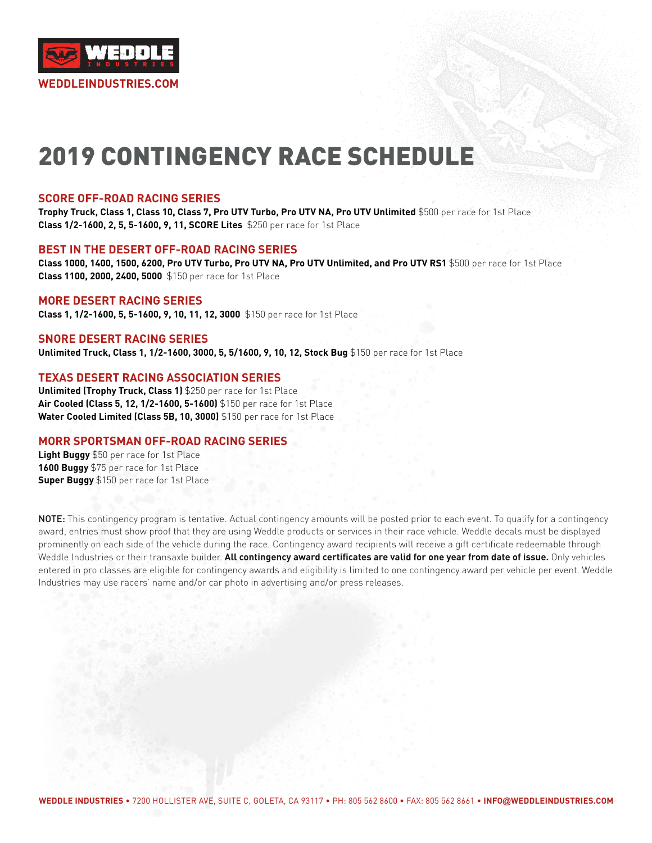

# 2019 CONTINGENCY RACE SCHEDULE

#### **SCORE OFF-ROAD RACING SERIES**

**Trophy Truck, Class 1, Class 10, Class 7, Pro UTV Turbo, Pro UTV NA, Pro UTV Unlimited** \$500 per race for 1st Place **Class 1/2-1600, 2, 5, 5-1600, 9, 11, SCORE Lites** \$250 per race for 1st Place

#### **BEST IN THE DESERT OFF-ROAD RACING SERIES**

**Class 1000, 1400, 1500, 6200, Pro UTV Turbo, Pro UTV NA, Pro UTV Unlimited, and Pro UTV RS1** \$500 per race for 1st Place **Class 1100, 2000, 2400, 5000** \$150 per race for 1st Place

#### **MORE DESERT RACING SERIES**

**Class 1, 1/2-1600, 5, 5-1600, 9, 10, 11, 12, 3000** \$150 per race for 1st Place

#### **SNORE DESERT RACING SERIES**

**Unlimited Truck, Class 1, 1/2-1600, 3000, 5, 5/1600, 9, 10, 12, Stock Bug** \$150 per race for 1st Place

### **TEXAS DESERT RACING ASSOCIATION SERIES**

**Unlimited (Trophy Truck, Class 1)** \$250 per race for 1st Place **Air Cooled (Class 5, 12, 1/2-1600, 5-1600)** \$150 per race for 1st Place **Water Cooled Limited (Class 5B, 10, 3000)** \$150 per race for 1st Place

#### **MORR SPORTSMAN OFF-ROAD RACING SERIES**

**Light Buggy** \$50 per race for 1st Place **1600 Buggy** \$75 per race for 1st Place **Super Buggy** \$150 per race for 1st Place

NOTE: This contingency program is tentative. Actual contingency amounts will be posted prior to each event. To qualify for a contingency award, entries must show proof that they are using Weddle products or services in their race vehicle. Weddle decals must be displayed prominently on each side of the vehicle during the race. Contingency award recipients will receive a gift certificate redeemable through Weddle Industries or their transaxle builder. **All contingency award certificates are valid for one year from date of issue.** Only vehicles entered in pro classes are eligible for contingency awards and eligibility is limited to one contingency award per vehicle per event. Weddle Industries may use racers' name and/or car photo in advertising and/or press releases.